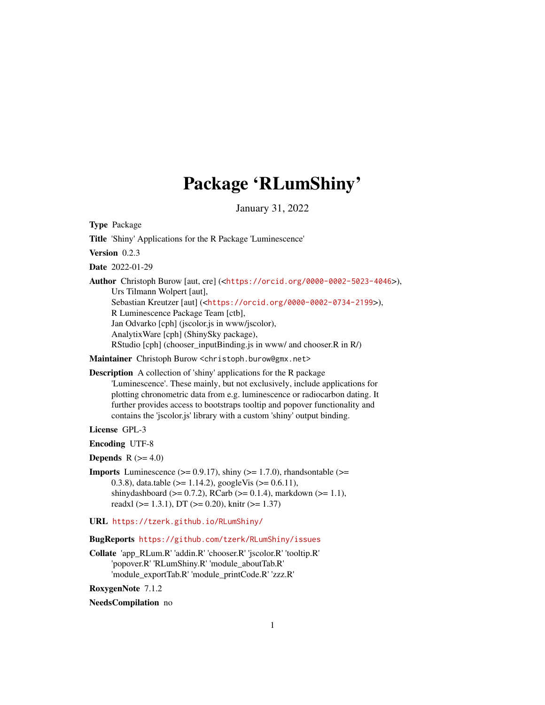# Package 'RLumShiny'

January 31, 2022

<span id="page-0-0"></span>Type Package

Title 'Shiny' Applications for the R Package 'Luminescence' Version 0.2.3 Date 2022-01-29 Author Christoph Burow [aut, cre] (<<https://orcid.org/0000-0002-5023-4046>>), Urs Tilmann Wolpert [aut], Sebastian Kreutzer [aut] (<<https://orcid.org/0000-0002-0734-2199>>), R Luminescence Package Team [ctb], Jan Odvarko [cph] (jscolor.js in www/jscolor), AnalytixWare [cph] (ShinySky package), RStudio [cph] (chooser\_inputBinding.js in www/ and chooser.R in R/) Maintainer Christoph Burow <christoph.burow@gmx.net> Description A collection of 'shiny' applications for the R package 'Luminescence'. These mainly, but not exclusively, include applications for plotting chronometric data from e.g. luminescence or radiocarbon dating. It

further provides access to bootstraps tooltip and popover functionality and contains the 'jscolor.js' library with a custom 'shiny' output binding.

License GPL-3

Encoding UTF-8

**Depends**  $R$  ( $>= 4.0$ )

**Imports** Luminescence  $(>= 0.9.17)$ , shiny  $(>= 1.7.0)$ , rhandsontable  $(>= 1.7.0)$ 0.3.8), data.table ( $>= 1.14.2$ ), googleVis ( $>= 0.6.11$ ), shinydashboard ( $>= 0.7.2$ ), RCarb ( $>= 0.1.4$ ), markdown ( $>= 1.1$ ), readxl ( $>= 1.3.1$ ), DT ( $>= 0.20$ ), knitr ( $>= 1.37$ )

URL <https://tzerk.github.io/RLumShiny/>

BugReports <https://github.com/tzerk/RLumShiny/issues>

Collate 'app\_RLum.R' 'addin.R' 'chooser.R' 'jscolor.R' 'tooltip.R' 'popover.R' 'RLumShiny.R' 'module\_aboutTab.R' 'module\_exportTab.R' 'module\_printCode.R' 'zzz.R'

RoxygenNote 7.1.2

NeedsCompilation no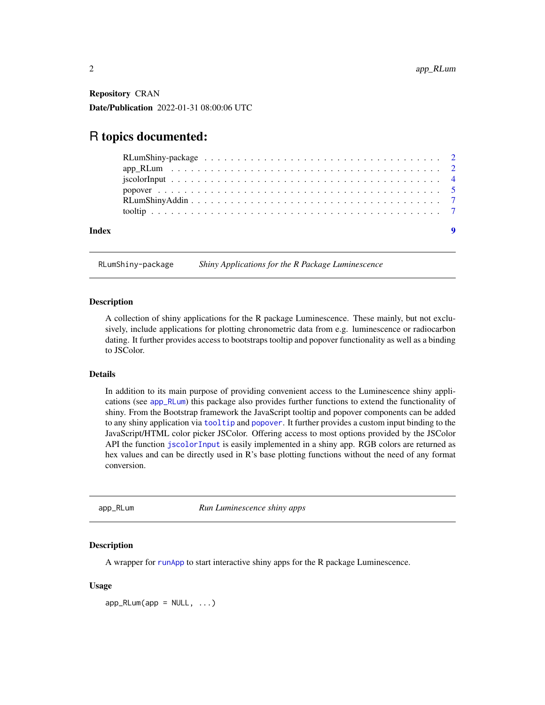Repository CRAN Date/Publication 2022-01-31 08:00:06 UTC

# R topics documented:

| Index |  |
|-------|--|

RLumShiny-package *Shiny Applications for the R Package Luminescence*

#### Description

A collection of shiny applications for the R package Luminescence. These mainly, but not exclusively, include applications for plotting chronometric data from e.g. luminescence or radiocarbon dating. It further provides access to bootstraps tooltip and popover functionality as well as a binding to JSColor.

# Details

In addition to its main purpose of providing convenient access to the Luminescence shiny applications (see [app\\_RLum](#page-1-1)) this package also provides further functions to extend the functionality of shiny. From the Bootstrap framework the JavaScript tooltip and popover components can be added to any shiny application via [tooltip](#page-6-1) and [popover](#page-4-1). It further provides a custom input binding to the JavaScript/HTML color picker JSColor. Offering access to most options provided by the JSColor API the function [jscolorInput](#page-3-1) is easily implemented in a shiny app. RGB colors are returned as hex values and can be directly used in R's base plotting functions without the need of any format conversion.

<span id="page-1-1"></span>app\_RLum *Run Luminescence shiny apps*

### Description

A wrapper for [runApp](#page-0-0) to start interactive shiny apps for the R package Luminescence.

#### Usage

 $app_RLum(ap = NULL, ...)$ 

<span id="page-1-0"></span>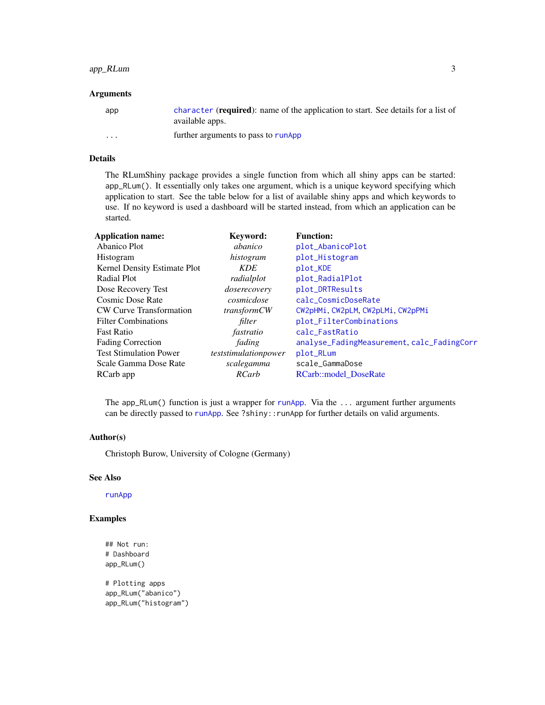# <span id="page-2-0"></span>app\_RLum 3

#### Arguments

| app     | character ( <b>required</b> ): name of the application to start. See details for a list of<br>available apps. |
|---------|---------------------------------------------------------------------------------------------------------------|
| $\cdot$ | further arguments to pass to runApp                                                                           |

# Details

The RLumShiny package provides a single function from which all shiny apps can be started: app\_RLum(). It essentially only takes one argument, which is a unique keyword specifying which application to start. See the table below for a list of available shiny apps and which keywords to use. If no keyword is used a dashboard will be started instead, from which an application can be started.

| <b>Application name:</b>       | Keyword:             | <b>Function:</b>                           |
|--------------------------------|----------------------|--------------------------------------------|
| Abanico Plot                   | abanico              | plot_AbanicoPlot                           |
| Histogram                      | histogram            | plot_Histogram                             |
| Kernel Density Estimate Plot   | <i>KDE</i>           | plot_KDE                                   |
| <b>Radial Plot</b>             | radialplot           | plot_RadialPlot                            |
| Dose Recovery Test             | doserecovery         | plot_DRTResults                            |
| Cosmic Dose Rate               | cosmicdose           | calc_CosmicDoseRate                        |
| <b>CW Curve Transformation</b> | <i>transformCW</i>   | CW2pHMi, CW2pLM, CW2pLMi, CW2pPMi          |
| <b>Filter Combinations</b>     | filter               | plot_FilterCombinations                    |
| <b>Fast Ratio</b>              | fastratio            | calc_FastRatio                             |
| <b>Fading Correction</b>       | fading               | analyse_FadingMeasurement, calc_FadingCorr |
| <b>Test Stimulation Power</b>  | teststimulationpower | plot_RLum                                  |
| Scale Gamma Dose Rate          | scalegamma           | scale_GammaDose                            |
| RCarb app                      | RCarb                | <b>RCarb::model DoseRate</b>               |

The app\_RLum() function is just a wrapper for [runApp](#page-0-0). Via the  $\dots$  argument further arguments can be directly passed to [runApp](#page-0-0). See ?shiny:: runApp for further details on valid arguments.

#### Author(s)

Christoph Burow, University of Cologne (Germany)

#### See Also

#### [runApp](#page-0-0)

# Examples

```
## Not run:
# Dashboard
app_RLum()
```
# Plotting apps app\_RLum("abanico") app\_RLum("histogram")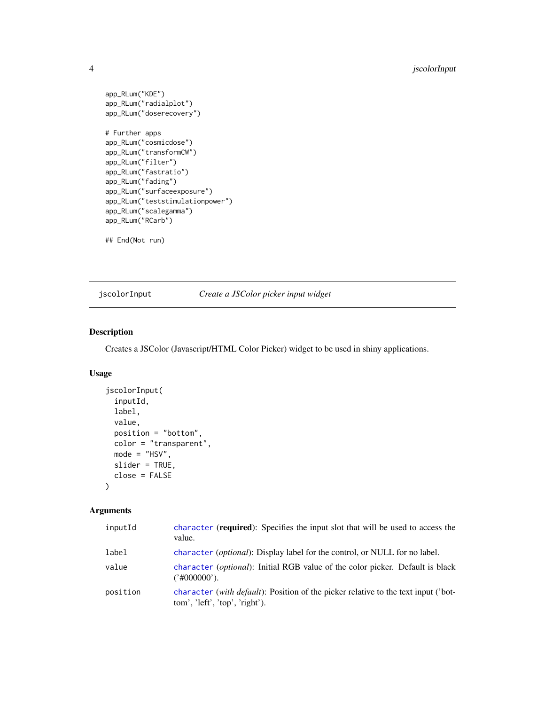```
app_RLum("KDE")
app_RLum("radialplot")
app_RLum("doserecovery")
# Further apps
app_RLum("cosmicdose")
app_RLum("transformCW")
app_RLum("filter")
app_RLum("fastratio")
app_RLum("fading")
app_RLum("surfaceexposure")
app_RLum("teststimulationpower")
app_RLum("scalegamma")
app_RLum("RCarb")
```
## End(Not run)

<span id="page-3-1"></span>jscolorInput *Create a JSColor picker input widget*

# Description

Creates a JSColor (Javascript/HTML Color Picker) widget to be used in shiny applications.

# Usage

```
jscolorInput(
  inputId,
 label,
 value,
 position = "bottom",
 color = "transparent",
 mode = "HSV",slider = TRUE,
 close = FALSE
\lambda
```
# Arguments

| inputId  | character (required): Specifies the input slot that will be used to access the<br>value.                                            |
|----------|-------------------------------------------------------------------------------------------------------------------------------------|
| label    | character (optional): Display label for the control, or NULL for no label.                                                          |
| value    | character <i>(optional)</i> : Initial RGB value of the color picker. Default is black<br>('#000000').                               |
| position | character <i>(with default)</i> : Position of the picker relative to the text input <i>('bot-</i><br>tom', 'left', 'top', 'right'). |

<span id="page-3-0"></span>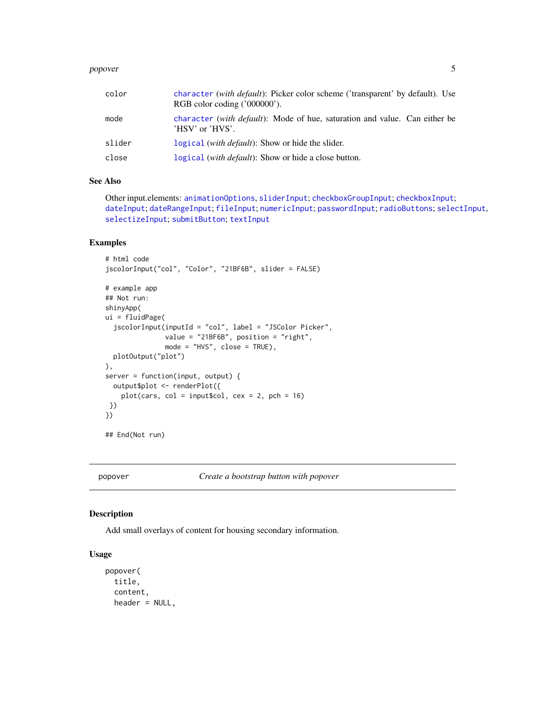#### <span id="page-4-0"></span>popover that is a state of the state of the state of the state of the state of the state of the state of the state of the state of the state of the state of the state of the state of the state of the state of the state of

| color  | character <i>(with default)</i> : Picker color scheme <i>('transparent' by default)</i> . Use<br>RGB color coding $('000000')$ . |
|--------|----------------------------------------------------------------------------------------------------------------------------------|
| mode   | character <i>(with default)</i> : Mode of hue, saturation and value. Can either be<br>$'$ HSV' or $'$ HVS'.                      |
| slider | logical <i>(with default)</i> : Show or hide the slider.                                                                         |
| close  | logical ( <i>with default</i> ): Show or hide a close button.                                                                    |

## See Also

```
Other input.elements: animationOptions, sliderInput; checkboxGroupInput; checkboxInput;
dateInput; dateRangeInput; fileInput; numericInput; passwordInput; radioButtons; selectInput,
selectizeInput; submitButton; textInput
```
# Examples

```
# html code
jscolorInput("col", "Color", "21BF6B", slider = FALSE)
# example app
## Not run:
shinyApp(
ui = fluidPage(
  jscolorInput(inputId = "col", label = "JSColor Picker",
               value = "21BF6B", position = "right",
               mode = "HVS", close = TRUE),
  plotOutput("plot")
),
server = function(input, output) {
  output$plot <- renderPlot({
   plot(cars, col = input$col, cex = 2, pch = 16)
 })
})
## End(Not run)
```
<span id="page-4-1"></span>popover *Create a bootstrap button with popover*

# Description

Add small overlays of content for housing secondary information.

### Usage

```
popover(
  title,
  content,
  header = NULL,
```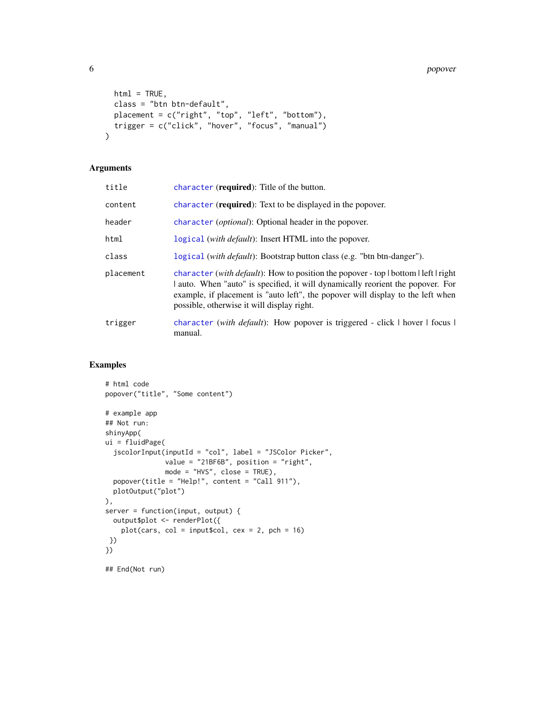```
html = TRUE,class = "btn btn-default",
 placement = c("right", "top", "left", "bottom"),
 trigger = c("click", "hover", "focus", "manual")
\lambda
```
## Arguments

| title     | character (required): Title of the button.                                                                                                                                                                                                                                                            |
|-----------|-------------------------------------------------------------------------------------------------------------------------------------------------------------------------------------------------------------------------------------------------------------------------------------------------------|
| content   | character ( <b>required</b> ): Text to be displayed in the popover.                                                                                                                                                                                                                                   |
| header    | character (optional): Optional header in the popover.                                                                                                                                                                                                                                                 |
| html      | logical (with <i>default</i> ): Insert HTML into the popover.                                                                                                                                                                                                                                         |
| class     | logical (with <i>default</i> ): Bootstrap button class (e.g. "btn btn-danger").                                                                                                                                                                                                                       |
| placement | character (with default): How to position the popover - top   bottom   left   right<br>auto. When "auto" is specified, it will dynamically reorient the popover. For<br>example, if placement is "auto left", the popover will display to the left when<br>possible, otherwise it will display right. |
| trigger   | character <i>(with default)</i> : How popover is triggered - click $\vert$ hover $\vert$ focus $\vert$<br>manual.                                                                                                                                                                                     |

## Examples

```
# html code
popover("title", "Some content")
# example app
## Not run:
shinyApp(
ui = fluidPage(
 jscolorInput(inputId = "col", label = "JSColor Picker",
              value = "21BF6B", position = "right",
              mode = "HVS", close = TRUE),
  popover(title = "Help!", content = "Call 911"),
  plotOutput("plot")
),
server = function(input, output) {
  output$plot <- renderPlot({
    plot(cars, col = inputcol, cex = 2, pch = 16)
})
})
```
## End(Not run)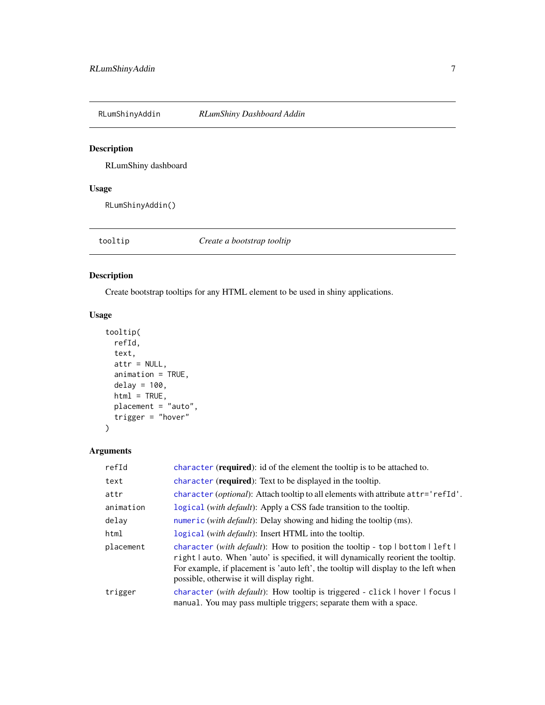<span id="page-6-0"></span>RLumShinyAddin *RLumShiny Dashboard Addin*

# Description

RLumShiny dashboard

# Usage

RLumShinyAddin()

<span id="page-6-1"></span>tooltip *Create a bootstrap tooltip*

# Description

Create bootstrap tooltips for any HTML element to be used in shiny applications.

# Usage

```
tooltip(
  refId,
  text,
  attr = NULL,
  animation = TRUE,
  delay = 100,
  html = TRUE,placement = "auto",
  trigger = "hover"
\mathcal{L}
```
# Arguments

| refId     | character (required): id of the element the tooltip is to be attached to.                                                                                                                                                                                                                                 |
|-----------|-----------------------------------------------------------------------------------------------------------------------------------------------------------------------------------------------------------------------------------------------------------------------------------------------------------|
| text      | character (required): Text to be displayed in the tooltip.                                                                                                                                                                                                                                                |
| attr      | character ( <i>optional</i> ): Attach tooltip to all elements with attribute at tr='refId'.                                                                                                                                                                                                               |
| animation | logical (with <i>default</i> ): Apply a CSS fade transition to the tooltip.                                                                                                                                                                                                                               |
| delay     | numeric ( <i>with default</i> ): Delay showing and hiding the tooltip (ms).                                                                                                                                                                                                                               |
| html      | logical <i>(with default)</i> : Insert HTML into the tooltip.                                                                                                                                                                                                                                             |
| placement | character (with default): How to position the tooltip - top   bottom   $left$  <br>right   auto. When 'auto' is specified, it will dynamically reorient the tooltip.<br>For example, if placement is 'auto left', the tooltip will display to the left when<br>possible, otherwise it will display right. |
| trigger   | character (with default): How tooltip is triggered - click   hover   focus  <br>manual. You may pass multiple triggers; separate them with a space.                                                                                                                                                       |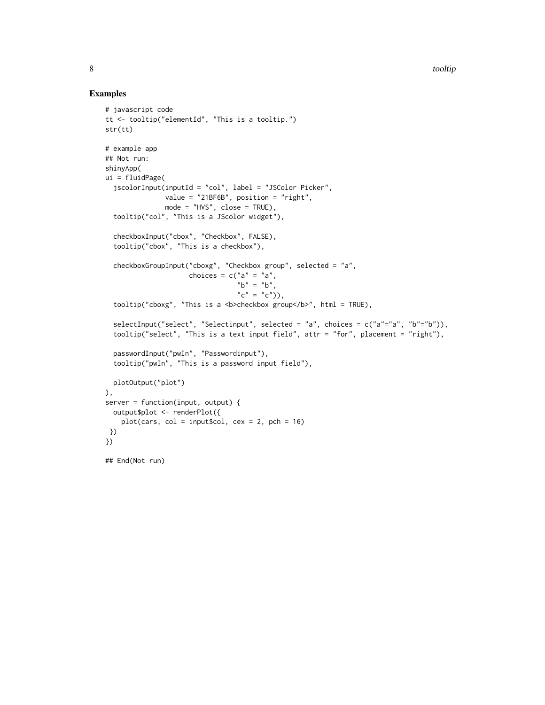#### Examples

```
# javascript code
tt <- tooltip("elementId", "This is a tooltip.")
str(tt)
# example app
## Not run:
shinyApp(
ui = fluidPage(
  jscolorInput(inputId = "col", label = "JSColor Picker",
               value = "21BF6B", position = "right",
               mode = "HVS", close = TRUE),
  tooltip("col", "This is a JScolor widget"),
  checkboxInput("cbox", "Checkbox", FALSE),
  tooltip("cbox", "This is a checkbox"),
  checkboxGroupInput("cboxg", "Checkbox group", selected = "a",
                     choices = c("a" = "a","b" = "b",
                                 C'' = C''(C''),
  tooltip("cboxg", "This is a <b>checkbox group</b>", html = TRUE),
  selectInput("select", "Selectinput", selected = "a", choices = c("a"="a", "b"="b")),
  tooltip("select", "This is a text input field", attr = "for", placement = "right"),
  passwordInput("pwIn", "Passwordinput"),
  tooltip("pwIn", "This is a password input field"),
  plotOutput("plot")
),
server = function(input, output) {
  output$plot <- renderPlot({
    plot(cars, col = inputcol, cex = 2, pch = 16)
 })
})
## End(Not run)
```